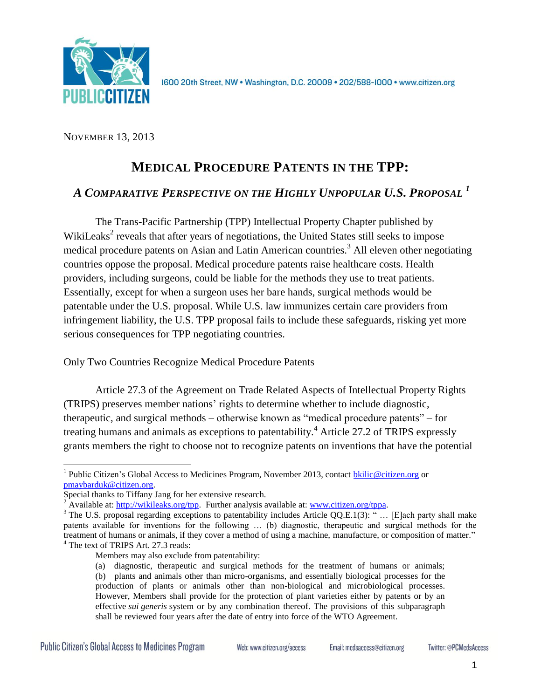

NOVEMBER 13, 2013

# **MEDICAL PROCEDURE PATENTS IN THE TPP:**

# *A COMPARATIVE PERSPECTIVE ON THE HIGHLY UNPOPULAR U.S. PROPOSAL <sup>1</sup>*

The Trans-Pacific Partnership (TPP) Intellectual Property Chapter published by WikiLeaks<sup>2</sup> reveals that after years of negotiations, the United States still seeks to impose medical procedure patents on Asian and Latin American countries.<sup>3</sup> All eleven other negotiating countries oppose the proposal. Medical procedure patents raise healthcare costs. Health providers, including surgeons, could be liable for the methods they use to treat patients. Essentially, except for when a surgeon uses her bare hands, surgical methods would be patentable under the U.S. proposal. While U.S. law immunizes certain care providers from infringement liability, the U.S. TPP proposal fails to include these safeguards, risking yet more serious consequences for TPP negotiating countries.

# Only Two Countries Recognize Medical Procedure Patents

Article 27.3 of the Agreement on Trade Related Aspects of Intellectual Property Rights (TRIPS) preserves member nations' rights to determine whether to include diagnostic, therapeutic, and surgical methods – otherwise known as "medical procedure patents" – for treating humans and animals as exceptions to patentability.<sup>4</sup> Article 27.2 of TRIPS expressly grants members the right to choose not to recognize patents on inventions that have the potential

 $\overline{a}$ 

<sup>&</sup>lt;sup>1</sup> Public Citizen's Global Access to Medicines Program, November 2013, contact **bkilic@citizen.org** or [pmaybarduk@citizen.org.](mailto:pmaybarduk@citizen.org)

Special thanks to Tiffany Jang for her extensive research.

Available at[: http://wikileaks.org/tpp.](http://wikileaks.org/tpp) Further analysis available at: [www.citizen.org/tppa.](http://www.citizen.org/tppa)

<sup>&</sup>lt;sup>3</sup> The U.S. proposal regarding exceptions to patentability includes Article QQ.E.1(3): " ... [E]ach party shall make patents available for inventions for the following … (b) diagnostic, therapeutic and surgical methods for the treatment of humans or animals, if they cover a method of using a machine, manufacture, or composition of matter." <sup>4</sup> The text of TRIPS Art. 27.3 reads:

Members may also exclude from patentability:

<sup>(</sup>a) diagnostic, therapeutic and surgical methods for the treatment of humans or animals; (b) plants and animals other than micro-organisms, and essentially biological processes for the production of plants or animals other than non-biological and microbiological processes. However, Members shall provide for the protection of plant varieties either by patents or by an effective *sui generis* system or by any combination thereof. The provisions of this subparagraph shall be reviewed four years after the date of entry into force of the WTO Agreement.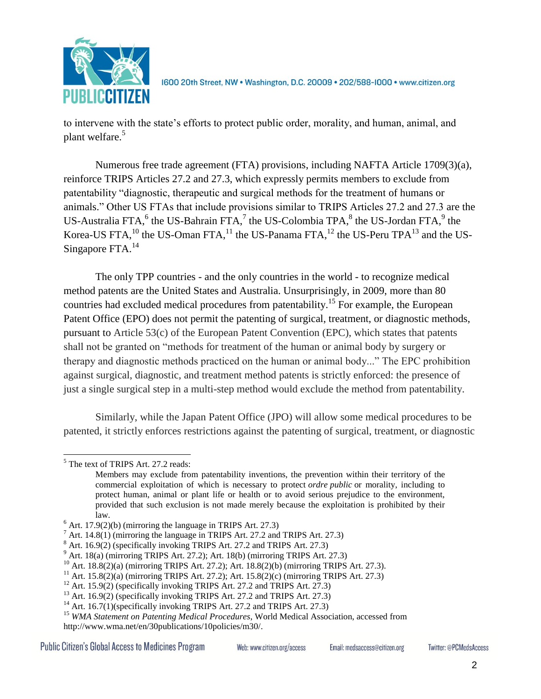

to intervene with the state's efforts to protect public order, morality, and human, animal, and plant welfare.<sup>5</sup>

Numerous free trade agreement (FTA) provisions, including NAFTA Article 1709(3)(a), reinforce TRIPS Articles 27.2 and 27.3, which expressly permits members to exclude from patentability "diagnostic, therapeutic and surgical methods for the treatment of humans or animals." Other US FTAs that include provisions similar to TRIPS Articles 27.2 and 27.3 are the US-Australia FTA, $^6$  the US-Bahrain FTA, $^7$  the US-Colombia TPA, $^8$  the US-Jordan FTA, $^9$  the Korea-US FTA,  $^{10}$  the US-Oman FTA,  $^{11}$  the US-Panama FTA,  $^{12}$  the US-Peru TPA $^{13}$  and the US-Singapore FTA. $^{14}$ 

The only TPP countries - and the only countries in the world - to recognize medical method patents are the United States and Australia. Unsurprisingly, in 2009, more than 80 countries had excluded medical procedures from patentability.<sup>15</sup> For example, the European Patent Office (EPO) does not permit the patenting of surgical, treatment, or diagnostic methods, pursuant to Article 53(c) of the European Patent Convention (EPC), which states that patents shall not be granted on "methods for treatment of the human or animal body by surgery or therapy and diagnostic methods practiced on the human or animal body..." The EPC prohibition against surgical, diagnostic, and treatment method patents is strictly enforced: the presence of just a single surgical step in a multi-step method would exclude the method from patentability.

Similarly, while the Japan Patent Office (JPO) will allow some medical procedures to be patented, it strictly enforces restrictions against the patenting of surgical, treatment, or diagnostic

<sup>5</sup> The text of TRIPS Art. 27.2 reads:

Members may exclude from patentability inventions, the prevention within their territory of the commercial exploitation of which is necessary to protect *ordre public* or morality, including to protect human, animal or plant life or health or to avoid serious prejudice to the environment, provided that such exclusion is not made merely because the exploitation is prohibited by their law.

 $6$  Art. 17.9(2)(b) (mirroring the language in TRIPS Art. 27.3)

<sup>&</sup>lt;sup>7</sup> Art. 14.8(1) (mirroring the language in TRIPS Art. 27.2 and TRIPS Art. 27.3)

 $8$  Art. 16.9(2) (specifically invoking TRIPS Art. 27.2 and TRIPS Art. 27.3)

 $9$  Art. 18(a) (mirroring TRIPS Art. 27.2); Art. 18(b) (mirroring TRIPS Art. 27.3)

<sup>10</sup> Art. 18.8(2)(a) (mirroring TRIPS Art. 27.2); Art. 18.8(2)(b) (mirroring TRIPS Art. 27.3).

<sup>11</sup> Art. 15.8(2)(a) (mirroring TRIPS Art. 27.2); Art. 15.8(2)(c) (mirroring TRIPS Art. 27.3)

 $12$  Art. 15.9(2) (specifically invoking TRIPS Art. 27.2 and TRIPS Art. 27.3)

 $13$  Art. 16.9(2) (specifically invoking TRIPS Art. 27.2 and TRIPS Art. 27.3)

<sup>&</sup>lt;sup>14</sup> Art. 16.7(1)(specifically invoking TRIPS Art. 27.2 and TRIPS Art. 27.3)

<sup>&</sup>lt;sup>15</sup> WMA Statement on Patenting Medical Procedures, World Medical Association, accessed from [http://www.wma.net/en/30publications/10policies/m30/.](http://www.wma.net/en/30publications/10policies/m30/)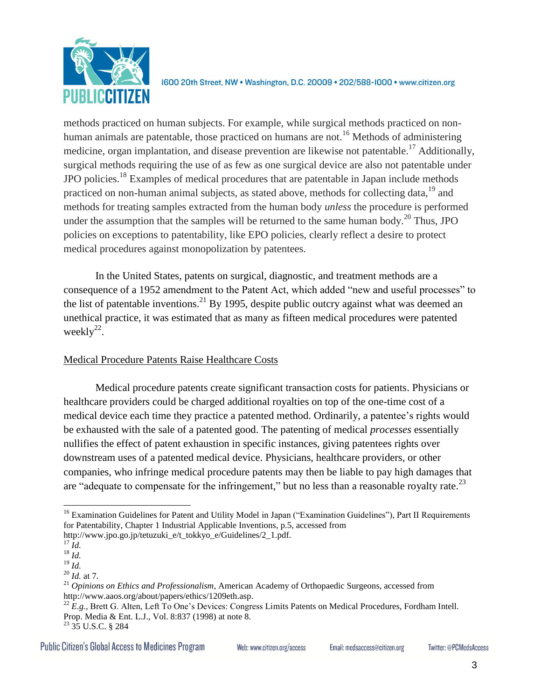

methods practiced on human subjects. For example, while surgical methods practiced on nonhuman animals are patentable, those practiced on humans are not.<sup>16</sup> Methods of administering medicine, organ implantation, and disease prevention are likewise not patentable.<sup>17</sup> Additionally, surgical methods requiring the use of as few as one surgical device are also not patentable under JPO policies.<sup>18</sup> Examples of medical procedures that are patentable in Japan include methods practiced on non-human animal subjects, as stated above, methods for collecting data,<sup>19</sup> and methods for treating samples extracted from the human body *unless* the procedure is performed under the assumption that the samples will be returned to the same human body.<sup>20</sup> Thus, JPO policies on exceptions to patentability, like EPO policies, clearly reflect a desire to protect medical procedures against monopolization by patentees.

In the United States, patents on surgical, diagnostic, and treatment methods are a consequence of a 1952 amendment to the Patent Act, which added "new and useful processes" to the list of patentable inventions.<sup>21</sup> By 1995, despite public outcry against what was deemed an unethical practice, it was estimated that as many as fifteen medical procedures were patented weekly $^{22}$ .

# Medical Procedure Patents Raise Healthcare Costs

Medical procedure patents create significant transaction costs for patients. Physicians or healthcare providers could be charged additional royalties on top of the one-time cost of a medical device each time they practice a patented method. Ordinarily, a patentee's rights would be exhausted with the sale of a patented good. The patenting of medical *processes* essentially nullifies the effect of patent exhaustion in specific instances, giving patentees rights over downstream uses of a patented medical device. Physicians, healthcare providers, or other companies, who infringe medical procedure patents may then be liable to pay high damages that are "adequate to compensate for the infringement," but no less than a reasonable royalty rate.<sup>23</sup>

<sup>&</sup>lt;sup>16</sup> Examination Guidelines for Patent and Utility Model in Japan ("Examination Guidelines"), Part II Requirements for Patentability, Chapter 1 Industrial Applicable Inventions, p.5, accessed from http://www.jpo.go.jp/tetuzuki\_e/t\_tokkyo\_e/Guidelines/2\_1.pdf.

<sup>17</sup> *Id.*

 $\frac{18}{10}$ 

 $^{19}$   $\overline{1d}$ .

<sup>20</sup> *Id.* at 7.

<sup>21</sup> *Opinions on Ethics and Professionalism*, American Academy of Orthopaedic Surgeons, accessed from [http://www.aaos.org/about/papers/ethics/1209eth.asp.](http://www.aaos.org/about/papers/ethics/1209eth.asp)

<sup>&</sup>lt;sup>22</sup> *E.g.*, Brett G. Alten, Left To One's Devices: Congress Limits Patents on Medical Procedures, Fordham Intell. Prop. Media & Ent. L.J., Vol. 8:837 (1998) at note 8.

<sup>23</sup> 35 U.S.C. § 284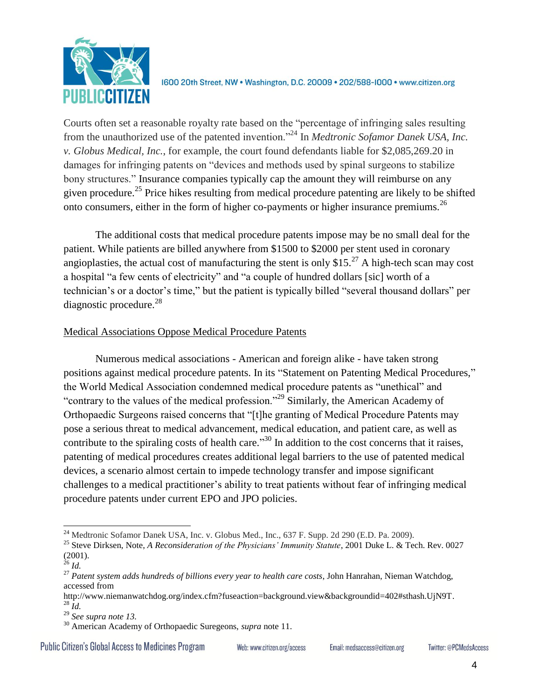

Courts often set a reasonable royalty rate based on the "percentage of infringing sales resulting from the unauthorized use of the patented invention."<sup>24</sup> In *Medtronic Sofamor Danek USA, Inc. v. Globus Medical, Inc.*, for example, the court found defendants liable for \$2,085,269.20 in damages for infringing patents on "devices and methods used by spinal surgeons to stabilize bony structures." Insurance companies typically cap the amount they will reimburse on any given procedure.<sup>25</sup> Price hikes resulting from medical procedure patenting are likely to be shifted onto consumers, either in the form of higher co-payments or higher insurance premiums.<sup>26</sup>

The additional costs that medical procedure patents impose may be no small deal for the patient. While patients are billed anywhere from \$1500 to \$2000 per stent used in coronary angioplasties, the actual cost of manufacturing the stent is only \$15.<sup>27</sup> A high-tech scan may cost a hospital "a few cents of electricity" and "a couple of hundred dollars [sic] worth of a technician's or a doctor's time," but the patient is typically billed "several thousand dollars" per diagnostic procedure. $^{28}$ 

#### Medical Associations Oppose Medical Procedure Patents

Numerous medical associations - American and foreign alike - have taken strong positions against medical procedure patents. In its "Statement on Patenting Medical Procedures," the World Medical Association condemned medical procedure patents as "unethical" and "contrary to the values of the medical profession."<sup>29</sup> Similarly, the American Academy of Orthopaedic Surgeons raised concerns that "[t]he granting of Medical Procedure Patents may pose a serious threat to medical advancement, medical education, and patient care, as well as contribute to the spiraling costs of health care.<sup>30</sup> In addition to the cost concerns that it raises, patenting of medical procedures creates additional legal barriers to the use of patented medical devices, a scenario almost certain to impede technology transfer and impose significant challenges to a medical practitioner's ability to treat patients without fear of infringing medical procedure patents under current EPO and JPO policies.

**Public Citizen's Global Access to Medicines Program** 

Web: www.citizen.org/access

Email: medsaccess@citizen.org

 $\overline{a}$  $^{24}$  Medtronic Sofamor Danek USA, Inc. v. Globus Med., Inc., 637 F. Supp. 2d 290 (E.D. Pa. 2009).

<sup>25</sup> Steve Dirksen, Note, *A Reconsideration of the Physicians' Immunity Statute*, 2001 Duke L. & Tech. Rev. 0027 (2001).

<sup>26</sup> *Id.*

<sup>27</sup> *Patent system adds hundreds of billions every year to health care costs*, John Hanrahan, Nieman Watchdog, accessed from

[http://www.niemanwatchdog.org/index.cfm?fuseaction=background.view&backgroundid=402#sthash.UjN9T.](http://www.niemanwatchdog.org/index.cfm?fuseaction=background.view&backgroundid=402#sthash.UjN9T) <sup>28</sup> *Id.*

<sup>29</sup> *See supra note 13.*

<sup>30</sup> American Academy of Orthopaedic Suregeons, *supra* note 11.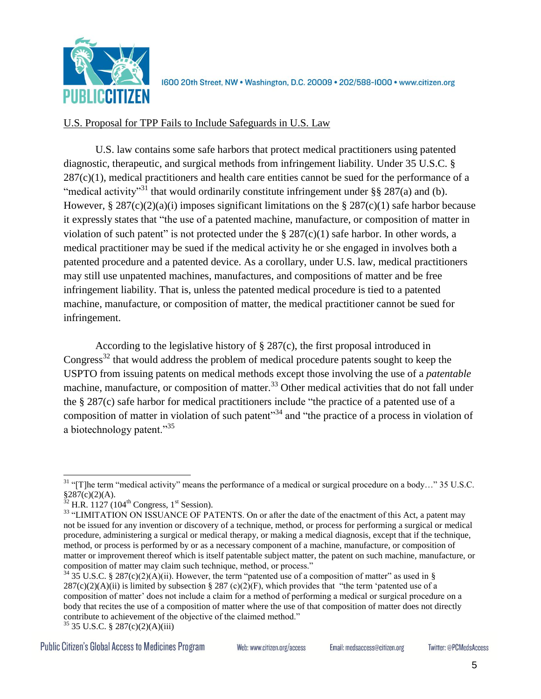

### U.S. Proposal for TPP Fails to Include Safeguards in U.S. Law

U.S. law contains some safe harbors that protect medical practitioners using patented diagnostic, therapeutic, and surgical methods from infringement liability. Under 35 U.S.C. §  $287(c)(1)$ , medical practitioners and health care entities cannot be sued for the performance of a "medical activity"<sup>31</sup> that would ordinarily constitute infringement under §§ 287(a) and (b). However, § 287(c)(2)(a)(i) imposes significant limitations on the § 287(c)(1) safe harbor because it expressly states that "the use of a patented machine, manufacture, or composition of matter in violation of such patent" is not protected under the  $\S 287(c)(1)$  safe harbor. In other words, a medical practitioner may be sued if the medical activity he or she engaged in involves both a patented procedure and a patented device. As a corollary, under U.S. law, medical practitioners may still use unpatented machines, manufactures, and compositions of matter and be free infringement liability. That is, unless the patented medical procedure is tied to a patented machine, manufacture, or composition of matter, the medical practitioner cannot be sued for infringement.

According to the legislative history of § 287(c), the first proposal introduced in Congress<sup>32</sup> that would address the problem of medical procedure patents sought to keep the USPTO from issuing patents on medical methods except those involving the use of a *patentable* machine, manufacture, or composition of matter.<sup>33</sup> Other medical activities that do not fall under the § 287(c) safe harbor for medical practitioners include "the practice of a patented use of a composition of matter in violation of such patent<sup>34</sup> and "the practice of a process in violation of a biotechnology patent."<sup>35</sup>

 $31$  "[T]he term "medical activity" means the performance of a medical or surgical procedure on a body..." 35 U.S.C.  $§287(c)(2)(A).$ 

 $32$  H.R. 1127 (104<sup>th</sup> Congress, 1<sup>st</sup> Session).

<sup>&</sup>lt;sup>33</sup> "LIMITATION ON ISSUANCE OF PATENTS. On or after the date of the enactment of this Act, a patent may not be issued for any invention or discovery of a technique, method, or process for performing a surgical or medical procedure, administering a surgical or medical therapy, or making a medical diagnosis, except that if the technique, method, or process is performed by or as a necessary component of a machine, manufacture, or composition of matter or improvement thereof which is itself patentable subject matter, the patent on such machine, manufacture, or composition of matter may claim such technique, method, or process."

 $34$  35 U.S.C. § 287(c)(2)(A)(ii). However, the term "patented use of a composition of matter" as used in §  $287(c)(2)(A)(ii)$  is limited by subsection § 287 (c)(2)(F), which provides that "the term 'patented use of a composition of matter' does not include a claim for a method of performing a medical or surgical procedure on a body that recites the use of a composition of matter where the use of that composition of matter does not directly contribute to achievement of the objective of the claimed method."

<sup>35</sup> 35 U.S.C. § 287(c)(2)(A)(iii)